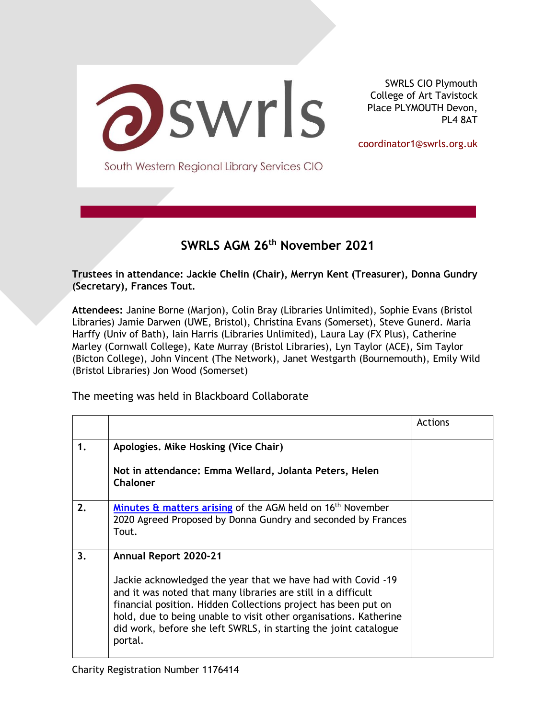

SWRLS CIO Plymouth College of Art Tavistock Place PLYMOUTH Devon, PL4 8AT

coordinator1@swrls.org.uk

South Western Regional Library Services CIO

### **SWRLS AGM 26th November 2021**

**Trustees in attendance: Jackie Chelin (Chair), Merryn Kent (Treasurer), Donna Gundry (Secretary), Frances Tout.**

**Attendees:** Janine Borne (Marjon), Colin Bray (Libraries Unlimited), Sophie Evans (Bristol Libraries) Jamie Darwen (UWE, Bristol), Christina Evans (Somerset), Steve Gunerd. Maria Harffy (Univ of Bath), Iain Harris (Libraries Unlimited), Laura Lay (FX Plus), Catherine Marley (Cornwall College), Kate Murray (Bristol Libraries), Lyn Taylor (ACE), Sim Taylor (Bicton College), John Vincent (The Network), Janet Westgarth (Bournemouth), Emily Wild (Bristol Libraries) Jon Wood (Somerset)

The meeting was held in Blackboard Collaborate

|    |                                                                                                                                                                                                                                                                                                                                                                                     | Actions |
|----|-------------------------------------------------------------------------------------------------------------------------------------------------------------------------------------------------------------------------------------------------------------------------------------------------------------------------------------------------------------------------------------|---------|
| 1. | Apologies. Mike Hosking (Vice Chair)                                                                                                                                                                                                                                                                                                                                                |         |
|    | Not in attendance: Emma Wellard, Jolanta Peters, Helen<br><b>Chaloner</b>                                                                                                                                                                                                                                                                                                           |         |
| 2. | Minutes & matters arising of the AGM held on 16 <sup>th</sup> November<br>2020 Agreed Proposed by Donna Gundry and seconded by Frances<br>Tout.                                                                                                                                                                                                                                     |         |
| 3. | <b>Annual Report 2020-21</b><br>Jackie acknowledged the year that we have had with Covid -19<br>and it was noted that many libraries are still in a difficult<br>financial position. Hidden Collections project has been put on<br>hold, due to being unable to visit other organisations. Katherine<br>did work, before she left SWRLS, in starting the joint catalogue<br>portal. |         |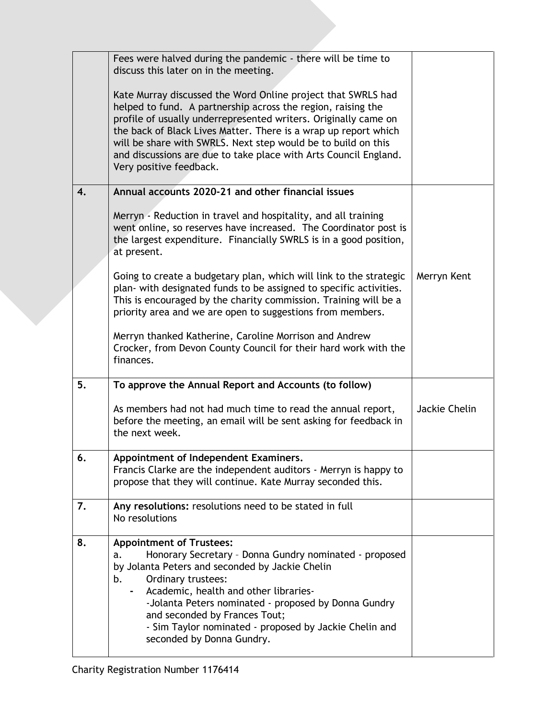|    | Fees were halved during the pandemic - there will be time to<br>discuss this later on in the meeting.                                                                                                                                                                                                                                                                                                                              |               |
|----|------------------------------------------------------------------------------------------------------------------------------------------------------------------------------------------------------------------------------------------------------------------------------------------------------------------------------------------------------------------------------------------------------------------------------------|---------------|
|    | Kate Murray discussed the Word Online project that SWRLS had<br>helped to fund. A partnership across the region, raising the<br>profile of usually underrepresented writers. Originally came on<br>the back of Black Lives Matter. There is a wrap up report which<br>will be share with SWRLS. Next step would be to build on this<br>and discussions are due to take place with Arts Council England.<br>Very positive feedback. |               |
| 4. | Annual accounts 2020-21 and other financial issues                                                                                                                                                                                                                                                                                                                                                                                 |               |
|    | Merryn - Reduction in travel and hospitality, and all training<br>went online, so reserves have increased. The Coordinator post is<br>the largest expenditure. Financially SWRLS is in a good position,<br>at present.                                                                                                                                                                                                             |               |
|    | Going to create a budgetary plan, which will link to the strategic<br>plan- with designated funds to be assigned to specific activities.<br>This is encouraged by the charity commission. Training will be a<br>priority area and we are open to suggestions from members.                                                                                                                                                         | Merryn Kent   |
|    | Merryn thanked Katherine, Caroline Morrison and Andrew<br>Crocker, from Devon County Council for their hard work with the<br>finances.                                                                                                                                                                                                                                                                                             |               |
| 5. | To approve the Annual Report and Accounts (to follow)                                                                                                                                                                                                                                                                                                                                                                              |               |
|    | As members had not had much time to read the annual report,<br>before the meeting, an email will be sent asking for feedback in<br>the next week.                                                                                                                                                                                                                                                                                  | Jackie Chelin |
| 6. | Appointment of Independent Examiners.<br>Francis Clarke are the independent auditors - Merryn is happy to<br>propose that they will continue. Kate Murray seconded this.                                                                                                                                                                                                                                                           |               |
| 7. | Any resolutions: resolutions need to be stated in full<br>No resolutions                                                                                                                                                                                                                                                                                                                                                           |               |
| 8. | <b>Appointment of Trustees:</b><br>Honorary Secretary - Donna Gundry nominated - proposed<br>a.<br>by Jolanta Peters and seconded by Jackie Chelin<br>Ordinary trustees:<br>b.<br>Academic, health and other libraries-<br>-Jolanta Peters nominated - proposed by Donna Gundry<br>and seconded by Frances Tout;<br>- Sim Taylor nominated - proposed by Jackie Chelin and<br>seconded by Donna Gundry.                            |               |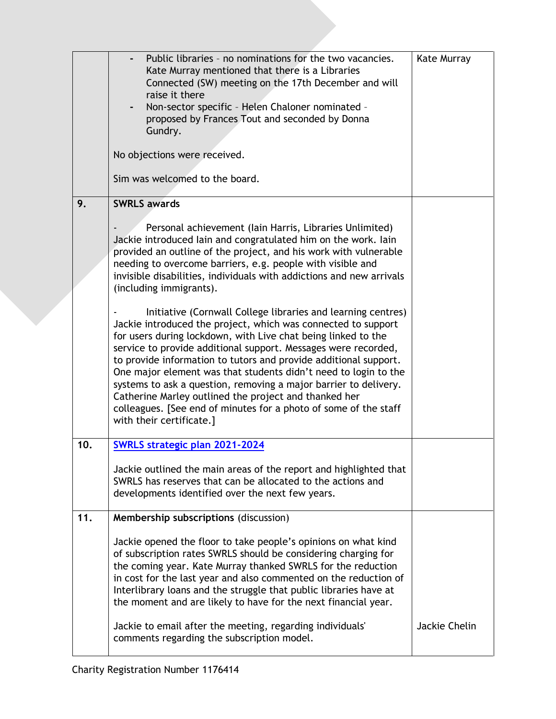|     | Public libraries - no nominations for the two vacancies.<br>Kate Murray mentioned that there is a Libraries<br>Connected (SW) meeting on the 17th December and will<br>raise it there<br>Non-sector specific - Helen Chaloner nominated -<br>proposed by Frances Tout and seconded by Donna<br>Gundry.<br>No objections were received.<br>Sim was welcomed to the board.                                                                                                                                                                                                                                                             | Kate Murray   |
|-----|--------------------------------------------------------------------------------------------------------------------------------------------------------------------------------------------------------------------------------------------------------------------------------------------------------------------------------------------------------------------------------------------------------------------------------------------------------------------------------------------------------------------------------------------------------------------------------------------------------------------------------------|---------------|
| 9.  | <b>SWRLS awards</b><br>Personal achievement (lain Harris, Libraries Unlimited)<br>Jackie introduced lain and congratulated him on the work. lain<br>provided an outline of the project, and his work with vulnerable<br>needing to overcome barriers, e.g. people with visible and<br>invisible disabilities, individuals with addictions and new arrivals<br>(including immigrants).                                                                                                                                                                                                                                                |               |
|     | Initiative (Cornwall College libraries and learning centres)<br>Jackie introduced the project, which was connected to support<br>for users during lockdown, with Live chat being linked to the<br>service to provide additional support. Messages were recorded,<br>to provide information to tutors and provide additional support.<br>One major element was that students didn't need to login to the<br>systems to ask a question, removing a major barrier to delivery.<br>Catherine Marley outlined the project and thanked her<br>colleagues. [See end of minutes for a photo of some of the staff<br>with their certificate.] |               |
| 10. | <b>SWRLS strategic plan 2021-2024</b><br>Jackie outlined the main areas of the report and highlighted that<br>SWRLS has reserves that can be allocated to the actions and<br>developments identified over the next few years.                                                                                                                                                                                                                                                                                                                                                                                                        |               |
| 11. | Membership subscriptions (discussion)<br>Jackie opened the floor to take people's opinions on what kind<br>of subscription rates SWRLS should be considering charging for<br>the coming year. Kate Murray thanked SWRLS for the reduction<br>in cost for the last year and also commented on the reduction of<br>Interlibrary loans and the struggle that public libraries have at<br>the moment and are likely to have for the next financial year.<br>Jackie to email after the meeting, regarding individuals'<br>comments regarding the subscription model.                                                                      | Jackie Chelin |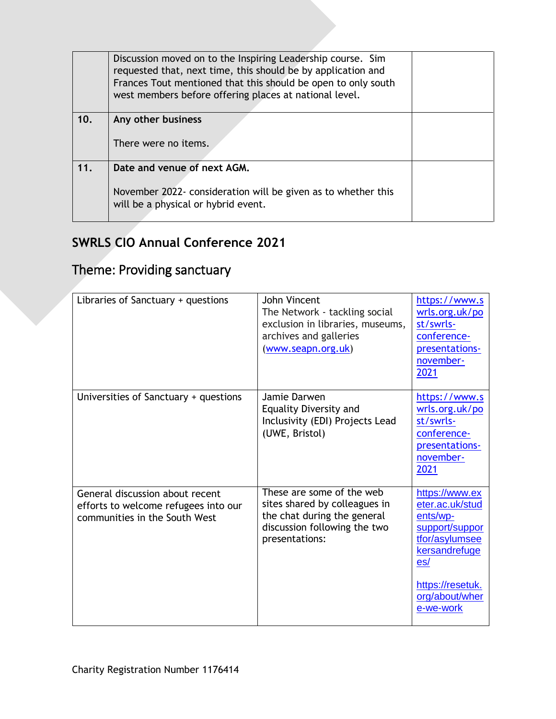|     | Discussion moved on to the Inspiring Leadership course. Sim<br>requested that, next time, this should be by application and<br>Frances Tout mentioned that this should be open to only south<br>west members before offering places at national level. |  |
|-----|--------------------------------------------------------------------------------------------------------------------------------------------------------------------------------------------------------------------------------------------------------|--|
| 10. | Any other business                                                                                                                                                                                                                                     |  |
|     | There were no items.                                                                                                                                                                                                                                   |  |
| 11. | Date and venue of next AGM.                                                                                                                                                                                                                            |  |
|     | November 2022- consideration will be given as to whether this<br>will be a physical or hybrid event.                                                                                                                                                   |  |

## **SWRLS CIO Annual Conference 2021**

# Theme: Providing sanctuary

| Libraries of Sanctuary + questions                                                                       | John Vincent<br>The Network - tackling social<br>exclusion in libraries, museums,<br>archives and galleries<br>(www.seapn.org.uk)           | https://www.s<br>wrls.org.uk/po<br>st/swrls-<br>conference-<br>presentations-<br>november-<br>2021                                                           |
|----------------------------------------------------------------------------------------------------------|---------------------------------------------------------------------------------------------------------------------------------------------|--------------------------------------------------------------------------------------------------------------------------------------------------------------|
| Universities of Sanctuary + questions                                                                    | Jamie Darwen<br><b>Equality Diversity and</b><br>Inclusivity (EDI) Projects Lead<br>(UWE, Bristol)                                          | https://www.s<br>wrls.org.uk/po<br>st/swrls-<br>conference-<br>presentations-<br>november-<br>2021                                                           |
| General discussion about recent<br>efforts to welcome refugees into our<br>communities in the South West | These are some of the web<br>sites shared by colleagues in<br>the chat during the general<br>discussion following the two<br>presentations: | https://www.ex<br>eter.ac.uk/stud<br>ents/wp-<br>support/suppor<br>tfor/asylumsee<br>kersandrefuge<br>es/<br>https://resetuk.<br>org/about/wher<br>e-we-work |